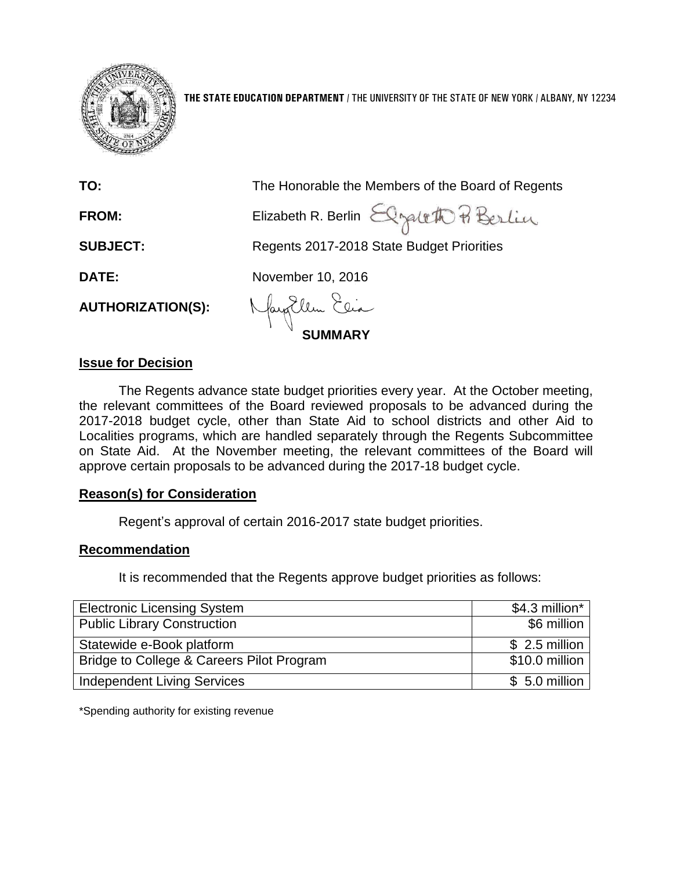

**THE STATE EDUCATION DEPARTMENT** / THE UNIVERSITY OF THE STATE OF NEW YORK / ALBANY, NY 12234

| TO:                      | The Honorable the Members of the Board of Regents |
|--------------------------|---------------------------------------------------|
| FROM:                    | Elizabeth R. Berlin Elgebeth Berlin               |
| <b>SUBJECT:</b>          | Regents 2017-2018 State Budget Priorities         |
| DATE:                    | November 10, 2016                                 |
| <b>AUTHORIZATION(S):</b> | May Ellen Elia                                    |
|                          |                                                   |

#### **Issue for Decision**

The Regents advance state budget priorities every year. At the October meeting, the relevant committees of the Board reviewed proposals to be advanced during the 2017-2018 budget cycle, other than State Aid to school districts and other Aid to Localities programs, which are handled separately through the Regents Subcommittee on State Aid. At the November meeting, the relevant committees of the Board will approve certain proposals to be advanced during the 2017-18 budget cycle.

### **Reason(s) for Consideration**

Regent's approval of certain 2016-2017 state budget priorities.

#### **Recommendation**

It is recommended that the Regents approve budget priorities as follows:

| <b>Electronic Licensing System</b>        | \$4.3 million* |
|-------------------------------------------|----------------|
| <b>Public Library Construction</b>        | \$6 million    |
| Statewide e-Book platform                 | $$2.5$ million |
| Bridge to College & Careers Pilot Program | \$10.0 million |
| <b>Independent Living Services</b>        | $$5.0$ million |

\*Spending authority for existing revenue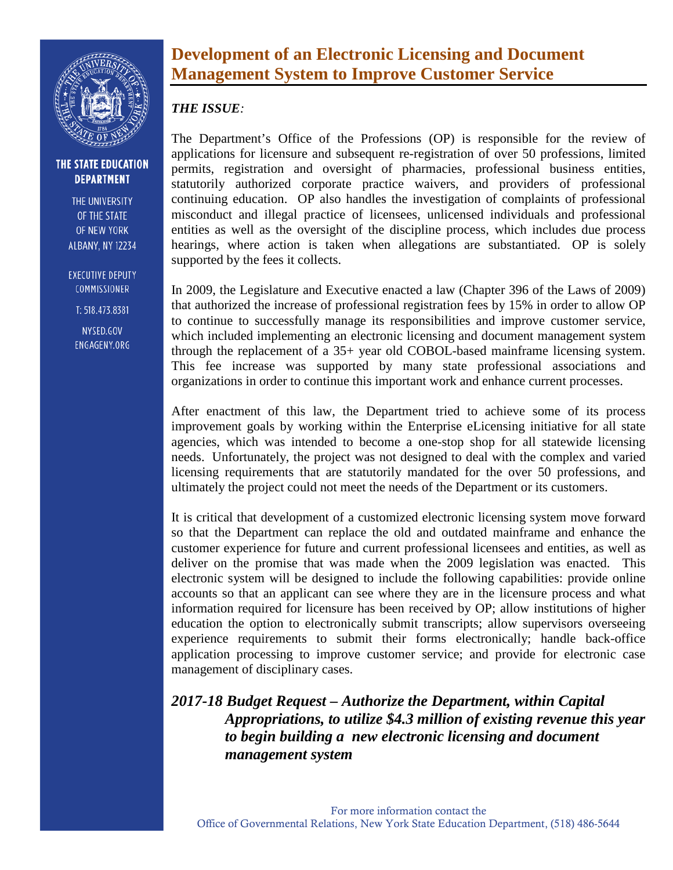

THE UNIVERSITY OF THE STATE OF NEW YORK **ALBANY, NY 12234** 

**EXECUTIVE DEPUTY** COMMISSIONER

T: 518.473.8381

NYSED.GOV ENGAGENY.ORG

## **Development of an Electronic Licensing and Document Management System to Improve Customer Service**

### *THE ISSUE:*

The Department's Office of the Professions (OP) is responsible for the review of applications for licensure and subsequent re-registration of over 50 professions, limited permits, registration and oversight of pharmacies, professional business entities, statutorily authorized corporate practice waivers, and providers of professional continuing education. OP also handles the investigation of complaints of professional misconduct and illegal practice of licensees, unlicensed individuals and professional entities as well as the oversight of the discipline process, which includes due process hearings, where action is taken when allegations are substantiated. OP is solely supported by the fees it collects.

In 2009, the Legislature and Executive enacted a law (Chapter 396 of the Laws of 2009) that authorized the increase of professional registration fees by 15% in order to allow OP to continue to successfully manage its responsibilities and improve customer service, which included implementing an electronic licensing and document management system through the replacement of a 35+ year old COBOL-based mainframe licensing system. This fee increase was supported by many state professional associations and organizations in order to continue this important work and enhance current processes.

After enactment of this law, the Department tried to achieve some of its process improvement goals by working within the Enterprise eLicensing initiative for all state agencies, which was intended to become a one-stop shop for all statewide licensing needs. Unfortunately, the project was not designed to deal with the complex and varied licensing requirements that are statutorily mandated for the over 50 professions, and ultimately the project could not meet the needs of the Department or its customers.

It is critical that development of a customized electronic licensing system move forward so that the Department can replace the old and outdated mainframe and enhance the customer experience for future and current professional licensees and entities, as well as deliver on the promise that was made when the 2009 legislation was enacted. This electronic system will be designed to include the following capabilities: provide online accounts so that an applicant can see where they are in the licensure process and what information required for licensure has been received by OP; allow institutions of higher education the option to electronically submit transcripts; allow supervisors overseeing experience requirements to submit their forms electronically; handle back-office application processing to improve customer service; and provide for electronic case management of disciplinary cases.

*2017-18 Budget Request – Authorize the Department, within Capital Appropriations, to utilize \$4.3 million of existing revenue this year to begin building a new electronic licensing and document management system*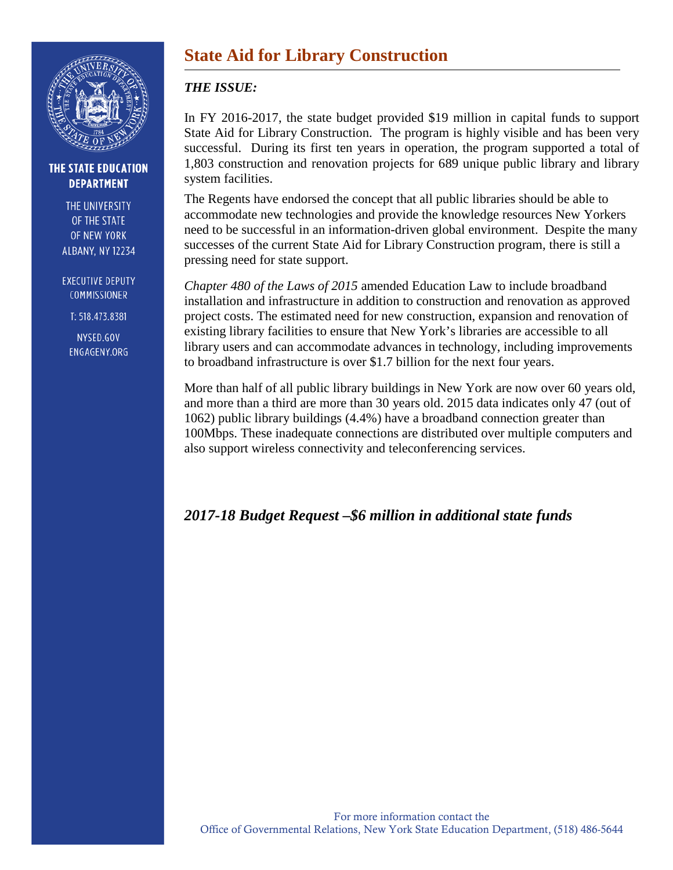

THE UNIVERSITY OF THE STATE OF NEW YORK **ALBANY, NY 12234** 

**EXECUTIVE DEPUTY COMMISSIONER** 

T: 518.473.8381

NYSED.GOV ENGAGENY.ORG

# **State Aid for Library Construction**

### *THE ISSUE:*

In FY 2016-2017, the state budget provided \$19 million in capital funds to support State Aid for Library Construction. The program is highly visible and has been very successful. During its first ten years in operation, the program supported a total of 1,803 construction and renovation projects for 689 unique public library and library system facilities.

The Regents have endorsed the concept that all public libraries should be able to accommodate new technologies and provide the knowledge resources New Yorkers need to be successful in an information-driven global environment. Despite the many successes of the current State Aid for Library Construction program, there is still a pressing need for state support.

*Chapter 480 of the Laws of 2015* amended Education Law to include broadband installation and infrastructure in addition to construction and renovation as approved project costs. The estimated need for new construction, expansion and renovation of existing library facilities to ensure that New York's libraries are accessible to all library users and can accommodate advances in technology, including improvements to broadband infrastructure is over \$1.7 billion for the next four years.

More than half of all public library buildings in New York are now over 60 years old, and more than a third are more than 30 years old. 2015 data indicates only 47 (out of 1062) public library buildings (4.4%) have a broadband connection greater than 100Mbps. These inadequate connections are distributed over multiple computers and also support wireless connectivity and teleconferencing services.

## *2017-18 Budget Request –\$6 million in additional state funds*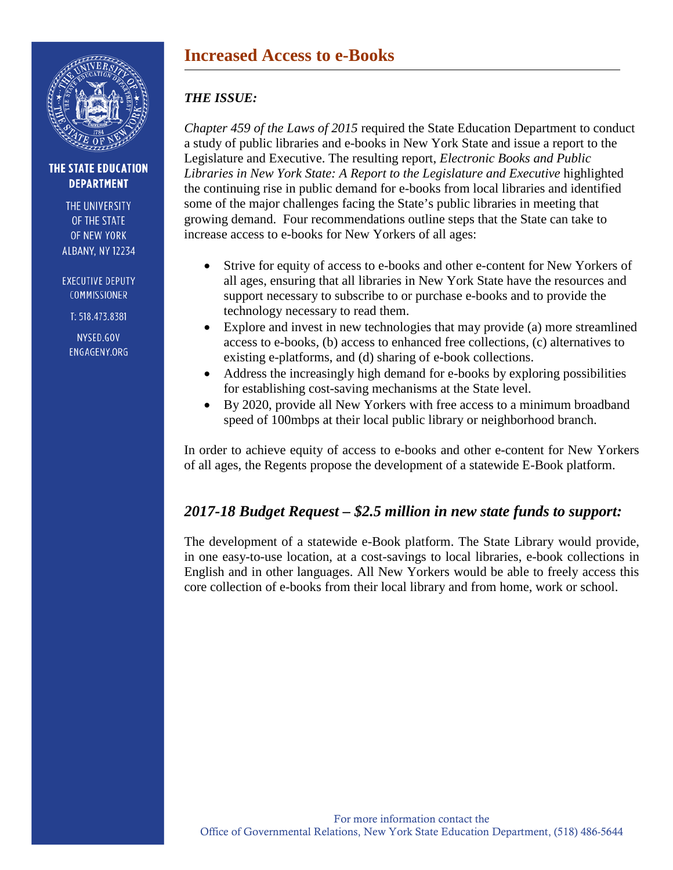

THE UNIVERSITY OF THE STATE OF NEW YORK **ALBANY, NY 12234** 

**EXECUTIVE DEPUTY COMMISSIONER** 

T: 518.473.8381

NYSED.GOV ENGAGENY.ORG

## **Increased Access to e-Books**

### *THE ISSUE:*

*Chapter 459 of the Laws of 2015* required the State Education Department to conduct a study of public libraries and e-books in New York State and issue a report to the Legislature and Executive. The resulting report, *Electronic Books and Public Libraries in New York State: A Report to the Legislature and Executive* highlighted the continuing rise in public demand for e-books from local libraries and identified some of the major challenges facing the State's public libraries in meeting that growing demand. Four recommendations outline steps that the State can take to increase access to e-books for New Yorkers of all ages:

- Strive for equity of access to e-books and other e-content for New Yorkers of all ages, ensuring that all libraries in New York State have the resources and support necessary to subscribe to or purchase e-books and to provide the technology necessary to read them.
- Explore and invest in new technologies that may provide (a) more streamlined access to e-books, (b) access to enhanced free collections, (c) alternatives to existing e-platforms, and (d) sharing of e-book collections.
- Address the increasingly high demand for e-books by exploring possibilities for establishing cost-saving mechanisms at the State level.
- By 2020, provide all New Yorkers with free access to a minimum broadband speed of 100mbps at their local public library or neighborhood branch.

In order to achieve equity of access to e-books and other e-content for New Yorkers of all ages, the Regents propose the development of a statewide E-Book platform.

## *2017-18 Budget Request – \$2.5 million in new state funds to support:*

The development of a statewide e-Book platform. The State Library would provide, in one easy-to-use location, at a cost-savings to local libraries, e-book collections in English and in other languages. All New Yorkers would be able to freely access this core collection of e-books from their local library and from home, work or school.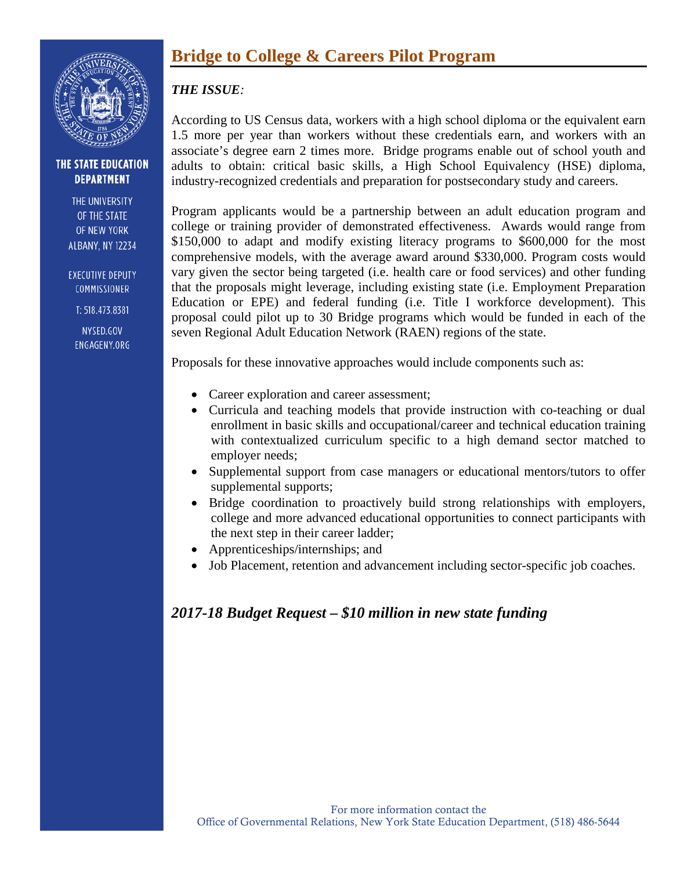

THE UNIVERSITY OF THE STATE OF NEW YORK **ALBANY, NY 12234** 

**EXECUTIVE DEPUTY** COMMISSIONER

T: 518.473.8381

NYSED.GOV ENGAGENY.ORG

## **Bridge to College & Careers Pilot Program**

### *THE ISSUE:*

According to US Census data, workers with a high school diploma or the equivalent earn 1.5 more per year than workers without these credentials earn, and workers with an associate's degree earn 2 times more. Bridge programs enable out of school youth and adults to obtain: critical basic skills, a High School Equivalency (HSE) diploma, industry-recognized credentials and preparation for postsecondary study and careers.

Program applicants would be a partnership between an adult education program and college or training provider of demonstrated effectiveness. Awards would range from \$150,000 to adapt and modify existing literacy programs to \$600,000 for the most comprehensive models, with the average award around \$330,000. Program costs would vary given the sector being targeted (i.e. health care or food services) and other funding that the proposals might leverage, including existing state (i.e. Employment Preparation Education or EPE) and federal funding (i.e. Title I workforce development). This proposal could pilot up to 30 Bridge programs which would be funded in each of the seven Regional Adult Education Network (RAEN) regions of the state.

Proposals for these innovative approaches would include components such as:

- Career exploration and career assessment;
- Curricula and teaching models that provide instruction with co-teaching or dual enrollment in basic skills and occupational/career and technical education training with contextualized curriculum specific to a high demand sector matched to employer needs;
- Supplemental support from case managers or educational mentors/tutors to offer supplemental supports;
- Bridge coordination to proactively build strong relationships with employers, college and more advanced educational opportunities to connect participants with the next step in their career ladder;
- Apprenticeships/internships; and
- Job Placement, retention and advancement including sector-specific job coaches.

## *2017-18 Budget Request – \$10 million in new state funding*